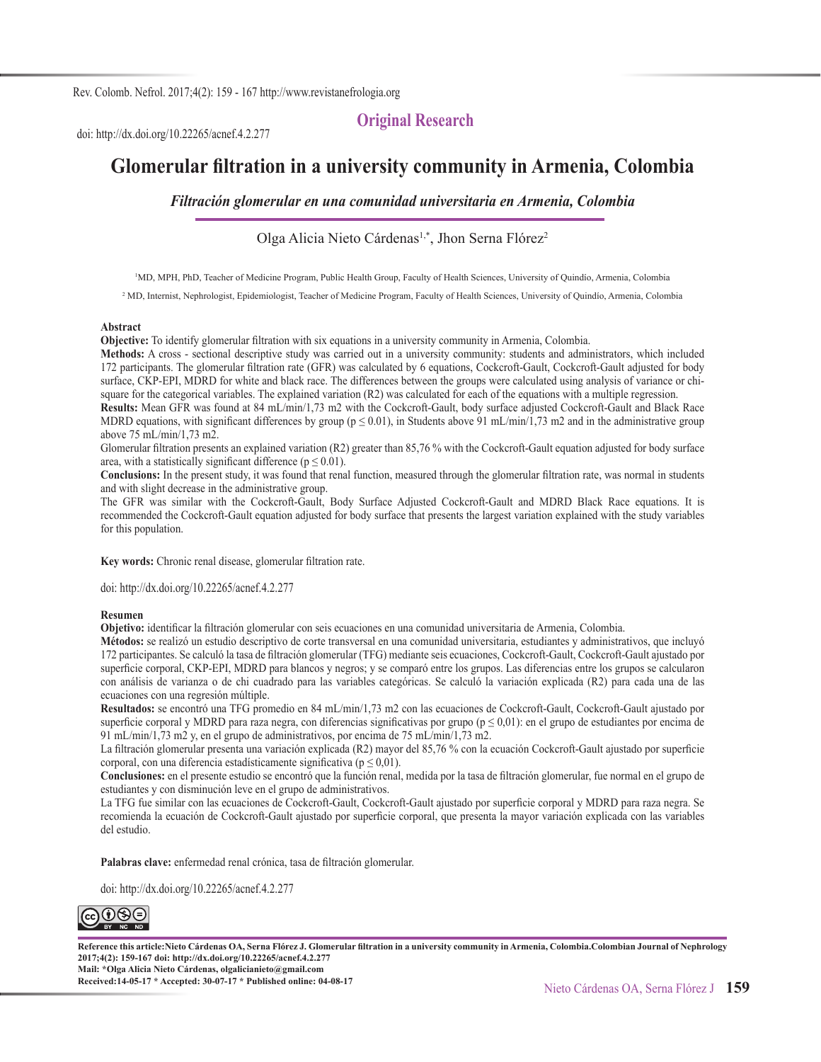#### **Original Research**

doi: http://dx.doi.org/10.22265/acnef.4.2.277

# **Glomerular filtration in a university community in Armenia, Colombia**

*Filtración glomerular en una comunidad universitaria en Armenia, Colombia*

Olga Alicia Nieto Cárdenas<sup>1,\*</sup>, Jhon Serna Flórez<sup>2</sup>

1 MD, MPH, PhD, Teacher of Medicine Program, Public Health Group, Faculty of Health Sciences, University of Quindío, Armenia, Colombia

<sup>2</sup> MD, Internist, Nephrologist, Epidemiologist, Teacher of Medicine Program, Faculty of Health Sciences, University of Quindío, Armenia, Colombia

#### **Abstract**

**Objective:** To identify glomerular filtration with six equations in a university community in Armenia, Colombia.

**Methods:** A cross - sectional descriptive study was carried out in a university community: students and administrators, which included 172 participants. The glomerular filtration rate (GFR) was calculated by 6 equations, Cockcroft-Gault, Cockcroft-Gault adjusted for body surface, CKP-EPI, MDRD for white and black race. The differences between the groups were calculated using analysis of variance or chisquare for the categorical variables. The explained variation (R2) was calculated for each of the equations with a multiple regression.

**Results:** Mean GFR was found at 84 mL/min/1,73 m2 with the Cockcroft-Gault, body surface adjusted Cockcroft-Gault and Black Race MDRD equations, with significant differences by group ( $p \le 0.01$ ), in Students above 91 mL/min/1,73 m2 and in the administrative group above 75 mL/min/1,73 m2.

Glomerular filtration presents an explained variation (R2) greater than 85,76 % with the Cockcroft-Gault equation adjusted for body surface area, with a statistically significant difference ( $p \le 0.01$ ).

**Conclusions:** In the present study, it was found that renal function, measured through the glomerular filtration rate, was normal in students and with slight decrease in the administrative group.

The GFR was similar with the Cockcroft-Gault, Body Surface Adjusted Cockcroft-Gault and MDRD Black Race equations. It is recommended the Cockcroft-Gault equation adjusted for body surface that presents the largest variation explained with the study variables for this population.

**Key words:** Chronic renal disease, glomerular filtration rate.

doi: http://dx.doi.org/10.22265/acnef.4.2.277

#### **Resumen**

**Objetivo:** identificar la filtración glomerular con seis ecuaciones en una comunidad universitaria de Armenia, Colombia.

**Métodos:** se realizó un estudio descriptivo de corte transversal en una comunidad universitaria, estudiantes y administrativos, que incluyó 172 participantes. Se calculó la tasa de filtración glomerular (TFG) mediante seis ecuaciones, Cockcroft-Gault, Cockcroft-Gault ajustado por superficie corporal, CKP-EPI, MDRD para blancos y negros; y se comparó entre los grupos. Las diferencias entre los grupos se calcularon con análisis de varianza o de chi cuadrado para las variables categóricas. Se calculó la variación explicada (R2) para cada una de las ecuaciones con una regresión múltiple.

**Resultados:** se encontró una TFG promedio en 84 mL/min/1,73 m2 con las ecuaciones de Cockcroft-Gault, Cockcroft-Gault ajustado por superficie corporal y MDRD para raza negra, con diferencias significativas por grupo ( $p \le 0.01$ ): en el grupo de estudiantes por encima de 91 mL/min/1,73 m2 y, en el grupo de administrativos, por encima de 75 mL/min/1,73 m2.

La filtración glomerular presenta una variación explicada (R2) mayor del 85,76 % con la ecuación Cockcroft-Gault ajustado por superficie corporal, con una diferencia estadísticamente significativa ( $p \le 0.01$ ).

**Conclusiones:** en el presente estudio se encontró que la función renal, medida por la tasa de filtración glomerular, fue normal en el grupo de estudiantes y con disminución leve en el grupo de administrativos.

La TFG fue similar con las ecuaciones de Cockcroft-Gault, Cockcroft-Gault ajustado por superficie corporal y MDRD para raza negra. Se recomienda la ecuación de Cockcroft-Gault ajustado por superficie corporal, que presenta la mayor variación explicada con las variables del estudio.

**Palabras clave:** enfermedad renal crónica, tasa de filtración glomerular.

doi: http://dx.doi.org/10.22265/acnef.4.2.277



**Reference this article:Nieto Cárdenas OA, Serna Flórez J. Glomerular filtration in a university community in Armenia, Colombia.Colombian Journal of Nephrology 2017;4(2): 159-167 doi: http://dx.doi.org/10.22265/acnef.4.2.277 Mail: \*Olga Alicia Nieto Cárdenas, olgalicianieto@gmail.com Received:14-05-17 \* Accepted: 30-07-17 \* Published online: 04-08-17**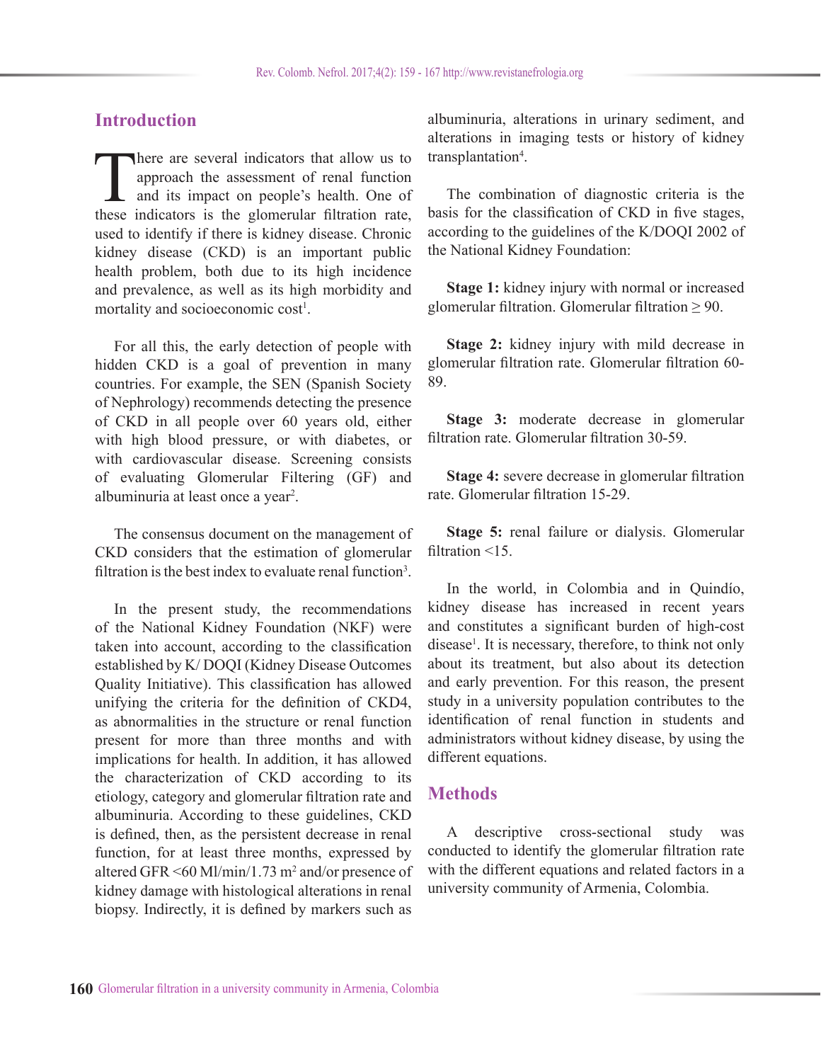# **Introduction**

There are several indicators that allow us to<br>approach the assessment of renal function<br>and its impact on people's health. One of<br>these indicators is the glomerular filtration rate approach the assessment of renal function and its impact on people's health. One of these indicators is the glomerular filtration rate, used to identify if there is kidney disease. Chronic kidney disease (CKD) is an important public health problem, both due to its high incidence and prevalence, as well as its high morbidity and mortality and socioeconomic cost<sup>1</sup>.

For all this, the early detection of people with hidden CKD is a goal of prevention in many countries. For example, the SEN (Spanish Society of Nephrology) recommends detecting the presence of CKD in all people over 60 years old, either with high blood pressure, or with diabetes, or with cardiovascular disease. Screening consists of evaluating Glomerular Filtering (GF) and albuminuria at least once a year<sup>2</sup>.

The consensus document on the management of CKD considers that the estimation of glomerular filtration is the best index to evaluate renal function<sup>3</sup>.

In the present study, the recommendations of the National Kidney Foundation (NKF) were taken into account, according to the classification established by K/ DOQI (Kidney Disease Outcomes Quality Initiative). This classification has allowed unifying the criteria for the definition of CKD4, as abnormalities in the structure or renal function present for more than three months and with implications for health. In addition, it has allowed the characterization of CKD according to its etiology, category and glomerular filtration rate and albuminuria. According to these guidelines, CKD is defined, then, as the persistent decrease in renal function, for at least three months, expressed by altered GFR  $\leq 60$  Ml/min/1.73 m<sup>2</sup> and/or presence of kidney damage with histological alterations in renal biopsy. Indirectly, it is defined by markers such as

albuminuria, alterations in urinary sediment, and alterations in imaging tests or history of kidney transplantation<sup>4</sup>.

The combination of diagnostic criteria is the basis for the classification of CKD in five stages, according to the guidelines of the K/DOQI 2002 of the National Kidney Foundation:

**Stage 1:** kidney injury with normal or increased glomerular filtration. Glomerular filtration  $\geq 90$ .

**Stage 2:** kidney injury with mild decrease in glomerular filtration rate. Glomerular filtration 60- 89.

**Stage 3:** moderate decrease in glomerular filtration rate. Glomerular filtration 30-59.

**Stage 4:** severe decrease in glomerular filtration rate. Glomerular filtration 15-29.

**Stage 5:** renal failure or dialysis. Glomerular filtration <15.

In the world, in Colombia and in Quindío, kidney disease has increased in recent years and constitutes a significant burden of high-cost disease<sup>1</sup>. It is necessary, therefore, to think not only about its treatment, but also about its detection and early prevention. For this reason, the present study in a university population contributes to the identification of renal function in students and administrators without kidney disease, by using the different equations.

## **Methods**

A descriptive cross-sectional study was conducted to identify the glomerular filtration rate with the different equations and related factors in a university community of Armenia, Colombia.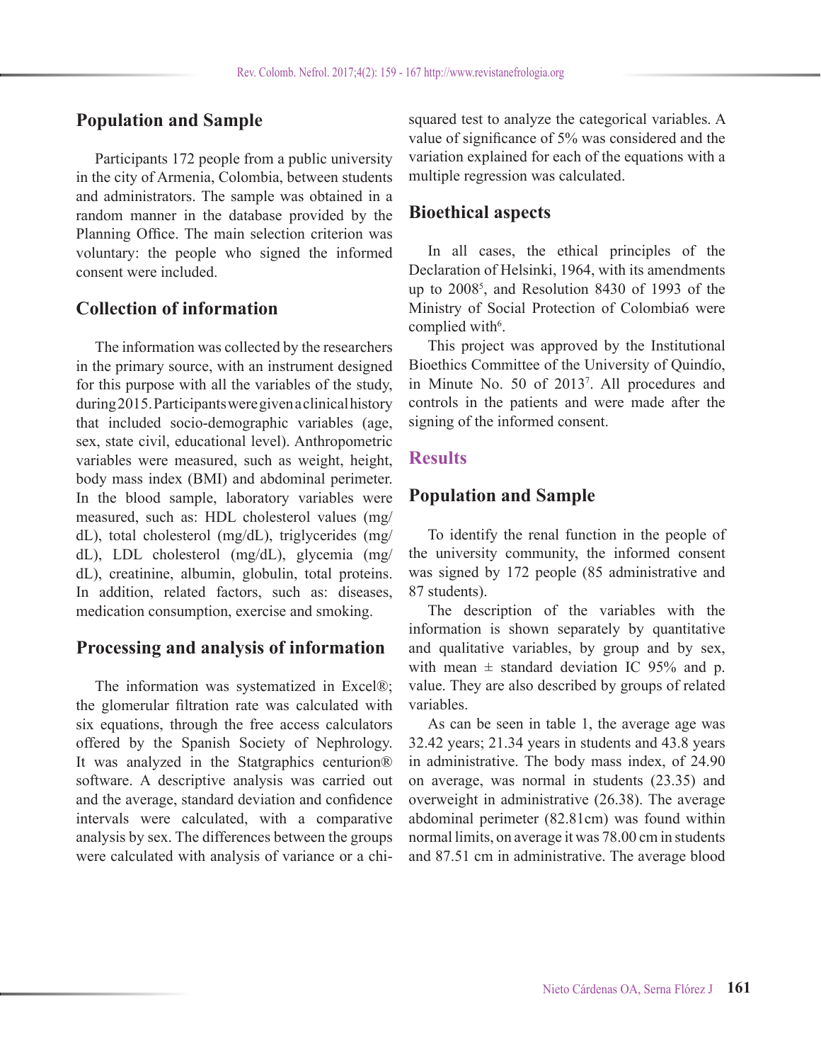# **Population and Sample**

Participants 172 people from a public university in the city of Armenia, Colombia, between students and administrators. The sample was obtained in a random manner in the database provided by the Planning Office. The main selection criterion was voluntary: the people who signed the informed consent were included.

# **Collection of information**

The information was collected by the researchers in the primary source, with an instrument designed for this purpose with all the variables of the study, during 2015. Participants were given a clinical history that included socio-demographic variables (age, sex, state civil, educational level). Anthropometric variables were measured, such as weight, height, body mass index (BMI) and abdominal perimeter. In the blood sample, laboratory variables were measured, such as: HDL cholesterol values (mg/ dL), total cholesterol (mg/dL), triglycerides (mg/ dL), LDL cholesterol (mg/dL), glycemia (mg/ dL), creatinine, albumin, globulin, total proteins. In addition, related factors, such as: diseases, medication consumption, exercise and smoking.

# **Processing and analysis of information**

The information was systematized in Excel®; the glomerular filtration rate was calculated with six equations, through the free access calculators offered by the Spanish Society of Nephrology. It was analyzed in the Statgraphics centurion® software. A descriptive analysis was carried out and the average, standard deviation and confidence intervals were calculated, with a comparative analysis by sex. The differences between the groups were calculated with analysis of variance or a chisquared test to analyze the categorical variables. A value of significance of 5% was considered and the variation explained for each of the equations with a multiple regression was calculated.

# **Bioethical aspects**

In all cases, the ethical principles of the Declaration of Helsinki, 1964, with its amendments up to 2008<sup>5</sup> , and Resolution 8430 of 1993 of the Ministry of Social Protection of Colombia6 were complied with<sup>6</sup>.

This project was approved by the Institutional Bioethics Committee of the University of Quindío, in Minute No. 50 of 2013<sup>7</sup> . All procedures and controls in the patients and were made after the signing of the informed consent.

### **Results**

## **Population and Sample**

To identify the renal function in the people of the university community, the informed consent was signed by 172 people (85 administrative and 87 students).

The description of the variables with the information is shown separately by quantitative and qualitative variables, by group and by sex, with mean  $\pm$  standard deviation IC 95% and p. value. They are also described by groups of related variables.

As can be seen in table 1, the average age was 32.42 years; 21.34 years in students and 43.8 years in administrative. The body mass index, of 24.90 on average, was normal in students (23.35) and overweight in administrative (26.38). The average abdominal perimeter (82.81cm) was found within normal limits, on average it was 78.00 cm in students and 87.51 cm in administrative. The average blood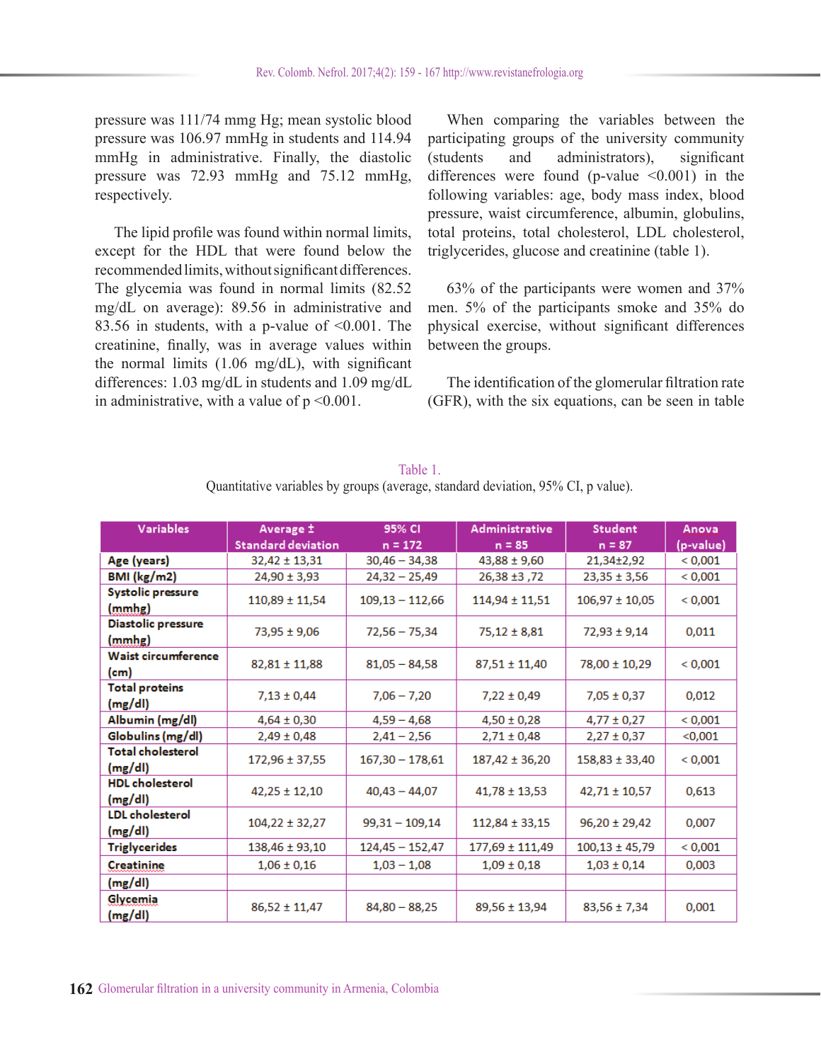pressure was 111/74 mmg Hg; mean systolic blood pressure was 106.97 mmHg in students and 114.94 mmHg in administrative. Finally, the diastolic pressure was 72.93 mmHg and 75.12 mmHg, respectively.

The lipid profile was found within normal limits, except for the HDL that were found below the recommended limits, without significant differences. The glycemia was found in normal limits (82.52 mg/dL on average): 89.56 in administrative and 83.56 in students, with a p-value of  $\leq 0.001$ . The creatinine, finally, was in average values within the normal limits (1.06 mg/dL), with significant differences: 1.03 mg/dL in students and 1.09 mg/dL in administrative, with a value of  $p \le 0.001$ .

When comparing the variables between the participating groups of the university community (students and administrators), significant differences were found (p-value  $\leq 0.001$ ) in the following variables: age, body mass index, blood pressure, waist circumference, albumin, globulins, total proteins, total cholesterol, LDL cholesterol, triglycerides, glucose and creatinine (table 1).

63% of the participants were women and 37% men. 5% of the participants smoke and 35% do physical exercise, without significant differences between the groups.

The identification of the glomerular filtration rate (GFR), with the six equations, can be seen in table

| <b>Variables</b>         | Average ±          | 95% CI            | <b>Administrative</b> | <b>Student</b>     | Anova     |
|--------------------------|--------------------|-------------------|-----------------------|--------------------|-----------|
|                          | Standard deviation | $n = 172$         | $n = 85$              | $n = 87$           | (p-value) |
| Age (years)              | $32,42 \pm 13,31$  | $30,46 - 34,38$   | $43,88 \pm 9,60$      | 21,34±2,92         | < 0,001   |
| <b>BMI</b> (kg/m2)       | $24,90 \pm 3,93$   | $24,32 - 25,49$   | 72, 24 26,38          | $23,35 \pm 3,56$   | < 0,001   |
| <b>Systolic pressure</b> | $110,89 \pm 11,54$ | $109,13 - 112,66$ | $114,94 \pm 11,51$    | $106,97 \pm 10,05$ | < 0,001   |
| (mmhg)                   |                    |                   |                       |                    |           |
| Diastolic pressure       | 73,95 ± 9,06       | $72,56 - 75,34$   | $75,12 \pm 8,81$      | 72,93 ± 9,14       | 0.011     |
| (mmhg)                   |                    |                   |                       |                    |           |
| Waist circumference      | $82,81 \pm 11,88$  | $81,05 - 84,58$   | $87,51 \pm 11,40$     | 78,00 ± 10,29      | < 0,001   |
| (cm)                     |                    |                   |                       |                    |           |
| <b>Total proteins</b>    | $7,13 \pm 0,44$    | $7,06 - 7,20$     | $7,22 \pm 0,49$       | $7,05 \pm 0,37$    | 0,012     |
| (mg/dl)                  |                    |                   |                       |                    |           |
| Albumin (mg/dl)          | $4,64 \pm 0,30$    | $4,59 - 4,68$     | $4,50 \pm 0,28$       | $4,77 \pm 0,27$    | < 0,001   |
| Globulins (mg/dl)        | $2,49 \pm 0,48$    | $2,41 - 2,56$     | $2,71 \pm 0,48$       | $2,27 \pm 0,37$    | < 0,001   |
| <b>Total cholesterol</b> | $172,96 \pm 37,55$ | $167,30 - 178,61$ | $187,42 \pm 36,20$    | $158,83 \pm 33,40$ | < 0,001   |
| (mg/dl)                  |                    |                   |                       |                    |           |
| <b>HDL</b> cholesterol   | $42,25 \pm 12,10$  | $40,43 - 44,07$   | $41,78 \pm 13,53$     | $42,71 \pm 10,57$  | 0,613     |
| (mg/dl)                  |                    |                   |                       |                    |           |
| <b>LDL</b> cholesterol   | $104,22 \pm 32,27$ | $99,31 - 109,14$  | $112,84 \pm 33,15$    | $96,20 \pm 29,42$  | 0,007     |
| (mg/dl)                  |                    |                   |                       |                    |           |
| Triglycerides            | $138,46 \pm 93,10$ | $124,45 - 152,47$ | 177,69 ± 111,49       | $100,13 \pm 45,79$ | < 0,001   |
| <b>Creatinine</b>        | $1,06 \pm 0,16$    | $1,03 - 1,08$     | $1,09 \pm 0,18$       | $1,03 \pm 0,14$    | 0,003     |
| (mg/dl)                  |                    |                   |                       |                    |           |
| Glycemia<br>(mg/dl)      | $86,52 \pm 11,47$  | $84,80 - 88,25$   | 89,56 ± 13,94         | $83,56 \pm 7,34$   | 0,001     |

Table 1. Quantitative variables by groups (average, standard deviation, 95% CI, p value).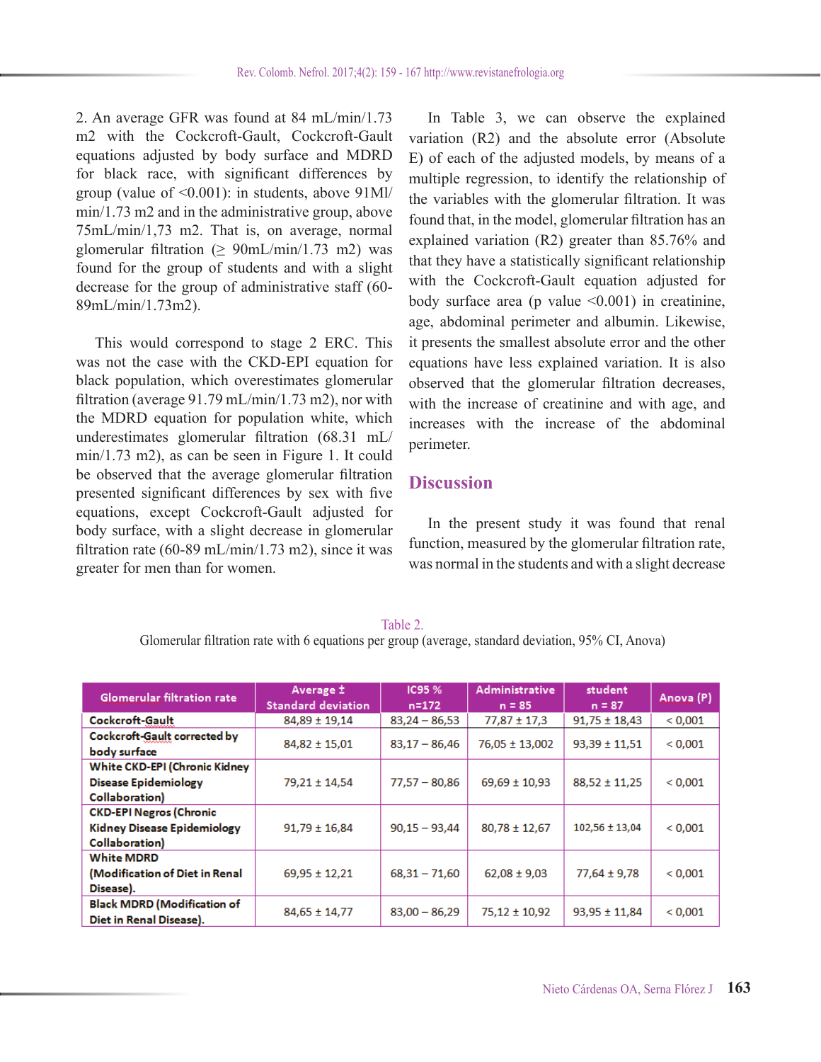2. An average GFR was found at 84 mL/min/1.73 m2 with the Cockcroft-Gault, Cockcroft-Gault equations adjusted by body surface and MDRD for black race, with significant differences by group (value of  $\leq 0.001$ ): in students, above  $91$ Ml/ min/1.73 m2 and in the administrative group, above 75mL/min/1,73 m2. That is, on average, normal glomerular filtration ( $\geq 90$ mL/min/1.73 m2) was found for the group of students and with a slight decrease for the group of administrative staff (60- 89mL/min/1.73m2).

This would correspond to stage 2 ERC. This was not the case with the CKD-EPI equation for black population, which overestimates glomerular filtration (average 91.79 mL/min/1.73 m2), nor with the MDRD equation for population white, which underestimates glomerular filtration (68.31 mL/ min/1.73 m2), as can be seen in Figure 1. It could be observed that the average glomerular filtration presented significant differences by sex with five equations, except Cockcroft-Gault adjusted for body surface, with a slight decrease in glomerular filtration rate (60-89 mL/min/1.73 m2), since it was greater for men than for women.

In Table 3, we can observe the explained variation (R2) and the absolute error (Absolute E) of each of the adjusted models, by means of a multiple regression, to identify the relationship of the variables with the glomerular filtration. It was found that, in the model, glomerular filtration has an explained variation (R2) greater than 85.76% and that they have a statistically significant relationship with the Cockcroft-Gault equation adjusted for body surface area (p value  $\leq 0.001$ ) in creatinine, age, abdominal perimeter and albumin. Likewise, it presents the smallest absolute error and the other equations have less explained variation. It is also observed that the glomerular filtration decreases, with the increase of creatinine and with age, and increases with the increase of the abdominal perimeter.

## **Discussion**

In the present study it was found that renal function, measured by the glomerular filtration rate, was normal in the students and with a slight decrease

Table 2. Glomerular filtration rate with 6 equations per group (average, standard deviation, 95% CI, Anova)

| <b>Glomerular filtration rate</b>                                                      | Average ±<br><b>Standard deviation</b> | IC95 %<br>$n = 172$ | <b>Administrative</b><br>$n = 85$ | student<br>$n = 87$ | Anova (P) |
|----------------------------------------------------------------------------------------|----------------------------------------|---------------------|-----------------------------------|---------------------|-----------|
| Cockcroft-Gault                                                                        | $84.89 \pm 19.14$                      | $83.24 - 86.53$     | $77,87 \pm 17,3$                  | $91.75 \pm 18.43$   | < 0.001   |
| Cockcroft-Gault corrected by<br>body surface                                           | $84,82 \pm 15,01$                      | $83.17 - 86.46$     | $76.05 \pm 13.002$                | $93,39 \pm 11,51$   | < 0.001   |
| White CKD-EPI (Chronic Kidney<br><b>Disease Epidemiology</b><br>Collaboration)         | 79,21 ± 14,54                          | $77,57 - 80,86$     | $69,69 \pm 10,93$                 | $88,52 \pm 11,25$   | < 0.001   |
| <b>CKD-EPI Negros (Chronic</b><br><b>Kidney Disease Epidemiology</b><br>Collaboration) | $91,79 \pm 16,84$                      | $90,15 - 93,44$     | $80,78 \pm 12,67$                 | $102,56 \pm 13,04$  | < 0.001   |
| <b>White MDRD</b><br>(Modification of Diet in Renal<br>Disease).                       | $69.95 \pm 12.21$                      | $68,31 - 71,60$     | $62,08 \pm 9,03$                  | $77,64 \pm 9,78$    | < 0.001   |
| <b>Black MDRD (Modification of</b><br>Diet in Renal Disease).                          | $84,65 \pm 14,77$                      | $83,00 - 86,29$     | $75,12 \pm 10,92$                 | $93,95 \pm 11,84$   | < 0.001   |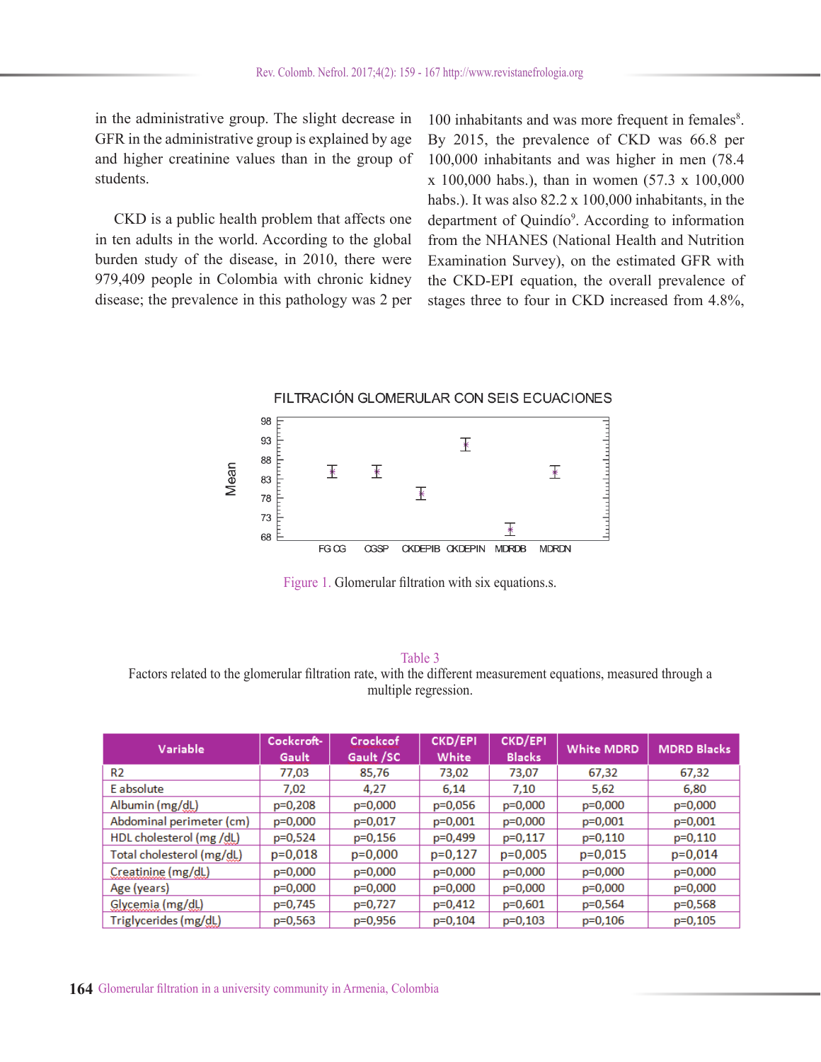in the administrative group. The slight decrease in GFR in the administrative group is explained by age and higher creatinine values than in the group of students.

CKD is a public health problem that affects one in ten adults in the world. According to the global burden study of the disease, in 2010, there were 979,409 people in Colombia with chronic kidney disease; the prevalence in this pathology was 2 per

100 inhabitants and was more frequent in females<sup>8</sup>. By 2015, the prevalence of CKD was 66.8 per 100,000 inhabitants and was higher in men (78.4 x 100,000 habs.), than in women (57.3 x 100,000 habs.). It was also 82.2 x 100,000 inhabitants, in the department of Quindío<sup>9</sup>. According to information from the NHANES (National Health and Nutrition Examination Survey), on the estimated GFR with the CKD-EPI equation, the overall prevalence of stages three to four in CKD increased from 4.8%,

#### FILTRACIÓN GLOMERULAR CON SEIS ECUACIONES



Figure 1. Glomerular filtration with six equations.s.

Table 3 Factors related to the glomerular filtration rate, with the different measurement equations, measured through a multiple regression.

| Variable                  | :Cockcroft-<br>Gault | Crockcof<br>Gault /SC | CKD/EPI<br>White | <b>CKD/EPI</b><br><b>Blacks</b> | <b>White MDRD</b> | <b>MDRD Blacks</b> |
|---------------------------|----------------------|-----------------------|------------------|---------------------------------|-------------------|--------------------|
| R <sub>2</sub>            | 77,03                | 85,76                 | 73,02            | 73,07                           | 67,32             | 67,32              |
| E absolute                | 7.02                 | 4.27                  | 6.14             | 7.10                            | 5.62              | 6.80               |
| Albumin (mg/dL)           | $p=0,208$            | $p=0,000$             | $p=0,056$        | $p=0,000$                       | $p=0,000$         | $p=0,000$          |
| Abdominal perimeter (cm)  | $p=0,000$            | p=0,017               | $p=0,001$        | $p=0,000$                       | $p=0,001$         | $p=0,001$          |
| HDL cholesterol (mg /dl.) | $p=0,524$            | $p=0,156$             | p=0,499          | $p=0,117$                       | $p=0,110$         | $p=0,110$          |
| Total cholesterol (mg/dL) | $p=0,018$            | $p=0,000$             | $p=0,127$        | $p=0,005$                       | $p=0,015$         | $p=0,014$          |
| Creatinine (mg/dL)        | $p=0,000$            | $p=0,000$             | $p=0,000$        | $p=0,000$                       | $p=0,000$         | $p=0,000$          |
| Age (years)               | $p=0,000$            | $p=0,000$             | $p=0,000$        | $p=0,000$                       | $p=0,000$         | $p=0,000$          |
| Glycemia (mg/dL)          | p=0,745              | p=0,727               | $p=0,412$        | $p=0,601$                       | p=0,564           | p=0,568            |
| Triglycerides (mg/dL)     | $p=0,563$            | p=0,956               | $p=0,104$        | $p=0,103$                       | $p=0,106$         | $p=0,105$          |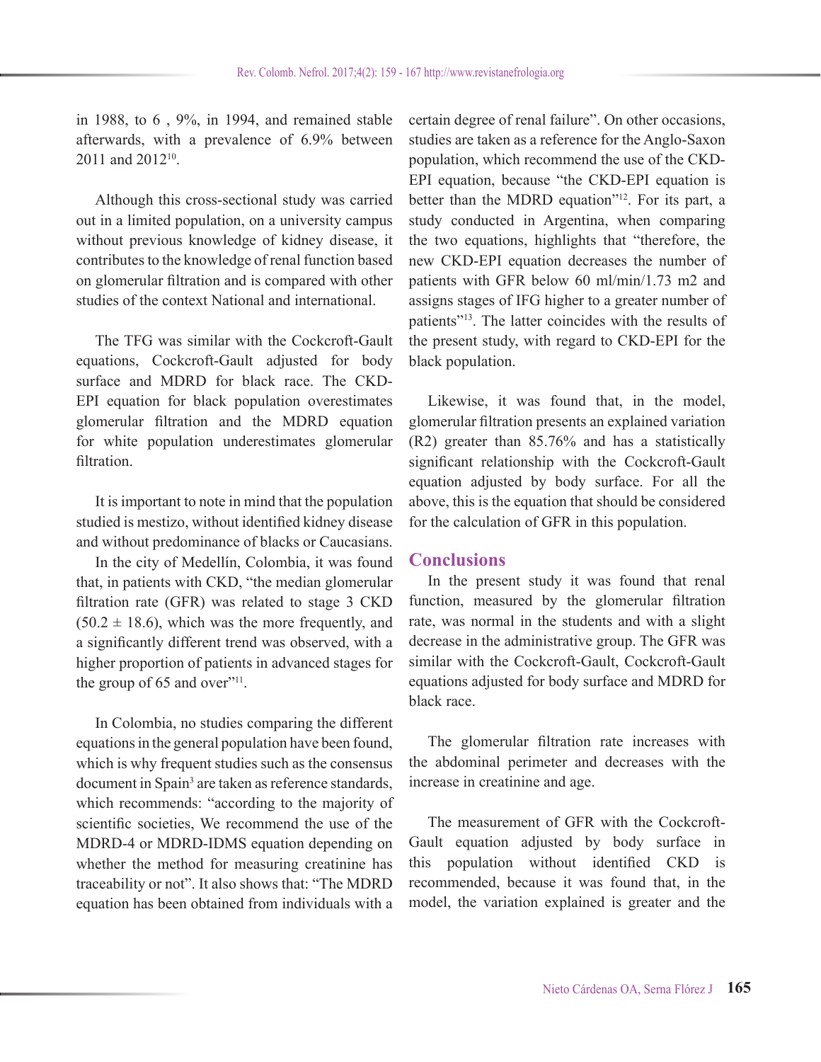in 1988, to 6 , 9%, in 1994, and remained stable afterwards, with a prevalence of 6.9% between 2011 and 2012<sup>10</sup>

Although this cross-sectional study was carried out in a limited population, on a university campus without previous knowledge of kidney disease, it contributes to the knowledge of renal function based on glomerular filtration and is compared with other studies of the context National and international.

The TFG was similar with the Cockcroft-Gault equations, Cockcroft-Gault adjusted for body surface and MDRD for black race. The CKD-EPI equation for black population overestimates glomerular filtration and the MDRD equation for white population underestimates glomerular filtration.

It is important to note in mind that the population studied is mestizo, without identified kidney disease and without predominance of blacks or Caucasians.

In the city of Medellín, Colombia, it was found that, in patients with CKD, "the median glomerular filtration rate (GFR) was related to stage 3 CKD  $(50.2 \pm 18.6)$ , which was the more frequently, and a significantly different trend was observed, with a higher proportion of patients in advanced stages for the group of  $65$  and over"<sup>11</sup>.

In Colombia, no studies comparing the different equations in the general population have been found, which is why frequent studies such as the consensus document in Spain<sup>3</sup> are taken as reference standards, which recommends: "according to the majority of scientific societies, We recommend the use of the MDRD-4 or MDRD-IDMS equation depending on whether the method for measuring creatinine has traceability or not". It also shows that: "The MDRD equation has been obtained from individuals with a

certain degree of renal failure". On other occasions, studies are taken as a reference for the Anglo-Saxon population, which recommend the use of the CKD-EPI equation, because "the CKD-EPI equation is better than the MDRD equation<sup>"12</sup>. For its part, a study conducted in Argentina, when comparing the two equations, highlights that "therefore, the new CKD-EPI equation decreases the number of patients with GFR below 60 ml/min/1.73 m2 and assigns stages of IFG higher to a greater number of patients"13. The latter coincides with the results of the present study, with regard to CKD-EPI for the black population.

Likewise, it was found that, in the model, glomerular filtration presents an explained variation (R2) greater than 85.76% and has a statistically significant relationship with the Cockcroft-Gault equation adjusted by body surface. For all the above, this is the equation that should be considered for the calculation of GFR in this population.

#### **Conclusions**

In the present study it was found that renal function, measured by the glomerular filtration rate, was normal in the students and with a slight decrease in the administrative group. The GFR was similar with the Cockcroft-Gault, Cockcroft-Gault equations adjusted for body surface and MDRD for black race.

The glomerular filtration rate increases with the abdominal perimeter and decreases with the increase in creatinine and age.

The measurement of GFR with the Cockcroft-Gault equation adjusted by body surface in this population without identified CKD is recommended, because it was found that, in the model, the variation explained is greater and the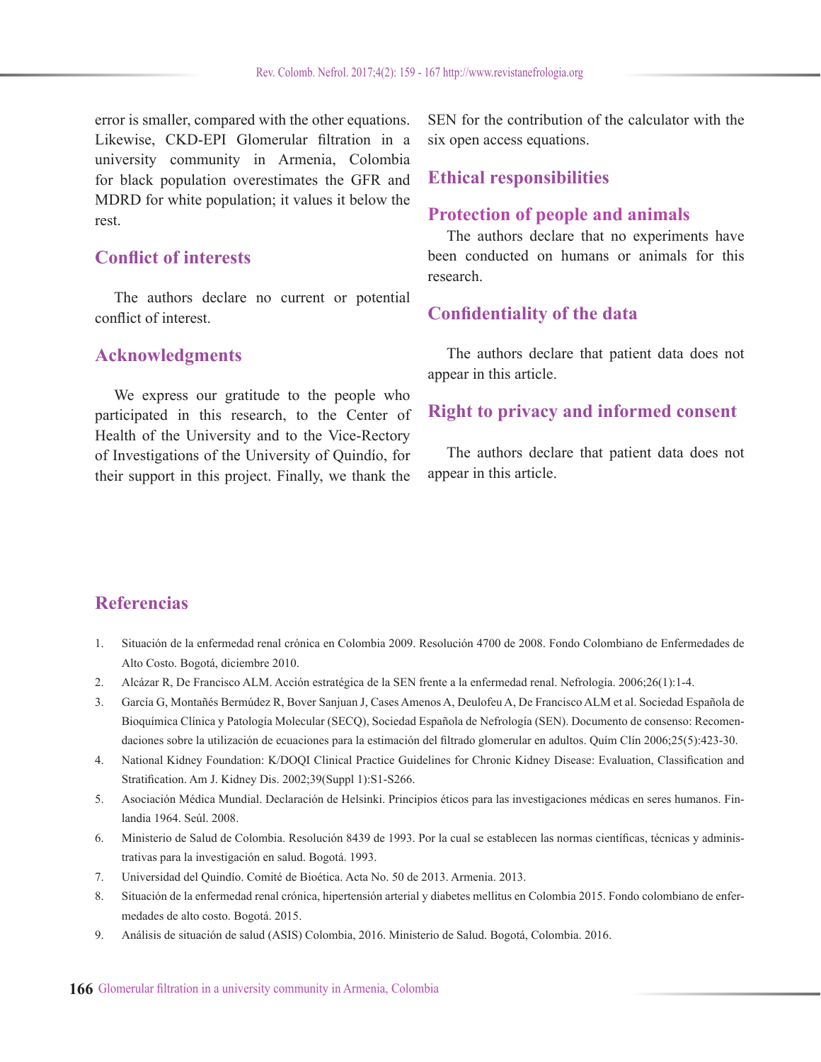error is smaller, compared with the other equations. Likewise, CKD-EPI Glomerular filtration in a university community in Armenia, Colombia for black population overestimates the GFR and MDRD for white population; it values it below the rest.

# **Conflict of interests**

The authors declare no current or potential conflict of interest.

### **Acknowledgments**

We express our gratitude to the people who participated in this research, to the Center of Health of the University and to the Vice-Rectory of Investigations of the University of Quindío, for their support in this project. Finally, we thank the

SEN for the contribution of the calculator with the six open access equations.

### **Ethical responsibilities**

### **Protection of people and animals**

The authors declare that no experiments have been conducted on humans or animals for this research.

## **Confidentiality of the data**

The authors declare that patient data does not appear in this article.

## **Right to privacy and informed consent**

The authors declare that patient data does not appear in this article.

# **Referencias**

- 1. Situación de la enfermedad renal crónica en Colombia 2009. Resolución 4700 de 2008. Fondo Colombiano de Enfermedades de Alto Costo. Bogotá, diciembre 2010.
- 2. Alcázar R, De Francisco ALM. Acción estratégica de la SEN frente a la enfermedad renal. Nefrología. 2006;26(1):1-4.
- 3. García G, Montañés Bermúdez R, Bover Sanjuan J, Cases Amenos A, Deulofeu A, De Francisco ALM et al. Sociedad Española de Bioquímica Clínica y Patología Molecular (SECQ), Sociedad Española de Nefrología (SEN). Documento de consenso: Recomendaciones sobre la utilización de ecuaciones para la estimación del filtrado glomerular en adultos. Quím Clín 2006;25(5):423-30.
- 4. National Kidney Foundation: K/DOQI Clinical Practice Guidelines for Chronic Kidney Disease: Evaluation, Classification and Stratification. Am J. Kidney Dis. 2002;39(Suppl 1):S1-S266.
- 5. Asociación Médica Mundial. Declaración de Helsinki. Principios éticos para las investigaciones médicas en seres humanos. Finlandia 1964. Seúl. 2008.
- 6. Ministerio de Salud de Colombia. Resolución 8439 de 1993. Por la cual se establecen las normas científicas, técnicas y administrativas para la investigación en salud. Bogotá. 1993.
- 7. Universidad del Quindío. Comité de Bioética. Acta No. 50 de 2013. Armenia. 2013.
- 8. Situación de la enfermedad renal crónica, hipertensión arterial y diabetes mellitus en Colombia 2015. Fondo colombiano de enfermedades de alto costo. Bogotá. 2015.
- 9. Análisis de situación de salud (ASIS) Colombia, 2016. Ministerio de Salud. Bogotá, Colombia. 2016.